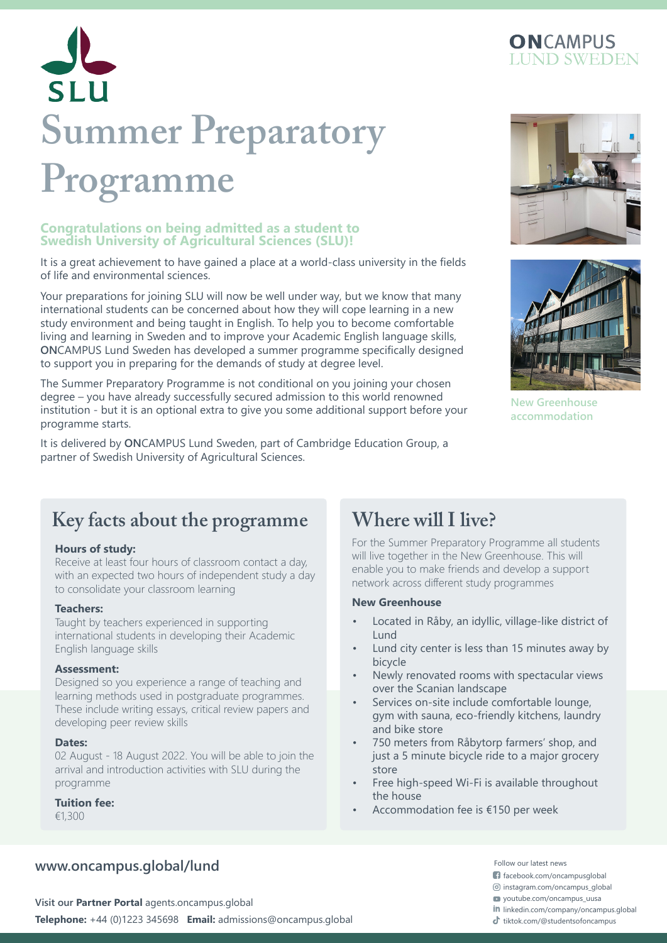

# SLU **Summer Preparatory Programme**

#### **Congratulations on being admitted as a student to Swedish University of Agricultural Sciences (SLU)!**

It is a great achievement to have gained a place at a world-class university in the fields of life and environmental sciences.

Your preparations for joining SLU will now be well under way, but we know that many international students can be concerned about how they will cope learning in a new study environment and being taught in English. To help you to become comfortable living and learning in Sweden and to improve your Academic English language skills, **ON**CAMPUS Lund Sweden has developed a summer programme specifically designed to support you in preparing for the demands of study at degree level.

The Summer Preparatory Programme is not conditional on you joining your chosen degree – you have already successfully secured admission to this world renowned institution - but it is an optional extra to give you some additional support before your programme starts.

It is delivered by **ON**CAMPUS Lund Sweden, part of Cambridge Education Group, a partner of Swedish University of Agricultural Sciences.





**New Greenhouse accommodation**

## **Key facts about the programme Where will I live?**

#### **Hours of study:**

Receive at least four hours of classroom contact a day, with an expected two hours of independent study a day to consolidate your classroom learning

#### **Teachers:**

Taught by teachers experienced in supporting international students in developing their Academic English language skills

#### **Assessment:**

Designed so you experience a range of teaching and learning methods used in postgraduate programmes. These include writing essays, critical review papers and developing peer review skills

#### **Dates:**

02 August - 18 August 2022. You will be able to join the arrival and introduction activities with SLU during the programme

#### **Tuition fee:**

€1,300

### **www.oncampus.global/lund**

**Telephone:** +44 (0)1223 345698 **Email:** admissions@oncampus.global the tiktok.com/@studentsofoncampus **Visit our Partner Portal** agents.oncampus.global

For the Summer Preparatory Programme all students will live together in the New Greenhouse. This will enable you to make friends and develop a support network across different study programmes

#### **New Greenhouse**

- Located in Råby, an idyllic, village-like district of Lund
- Lund city center is less than 15 minutes away by bicycle
- Newly renovated rooms with spectacular views over the Scanian landscape
- Services on-site include comfortable lounge, gym with sauna, eco-friendly kitchens, laundry and bike store
- 750 meters from Råbytorp farmers' shop, and just a 5 minute bicycle ride to a major grocery store
- Free high-speed Wi-Fi is available throughout the house
- Accommodation fee is €150 per week

Follow our latest news

facebook.com/oncampusglobal

 $\circledcirc$  instagram.com/oncampus\_global

youtube.com/oncampus\_uusa

in linkedin.com/company/oncampus.global